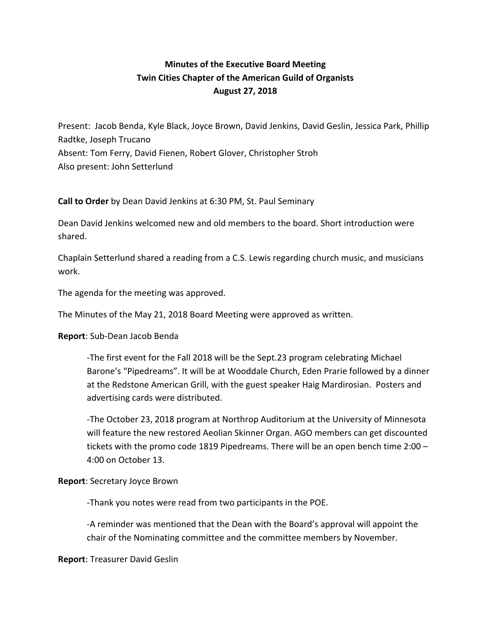# **Minutes of the Executive Board Meeting Twin Cities Chapter of the American Guild of Organists August 27, 2018**

Present: Jacob Benda, Kyle Black, Joyce Brown, David Jenkins, David Geslin, Jessica Park, Phillip Radtke, Joseph Trucano Absent: Tom Ferry, David Fienen, Robert Glover, Christopher Stroh Also present: John Setterlund

**Call to Order** by Dean David Jenkins at 6:30 PM, St. Paul Seminary

Dean David Jenkins welcomed new and old members to the board. Short introduction were shared.

Chaplain Setterlund shared a reading from a C.S. Lewis regarding church music, and musicians work.

The agenda for the meeting was approved.

The Minutes of the May 21, 2018 Board Meeting were approved as written.

#### **Report:** Sub-Dean Jacob Benda

-The first event for the Fall 2018 will be the Sept.23 program celebrating Michael Barone's "Pipedreams". It will be at Wooddale Church, Eden Prarie followed by a dinner at the Redstone American Grill, with the guest speaker Haig Mardirosian. Posters and advertising cards were distributed.

-The October 23, 2018 program at Northrop Auditorium at the University of Minnesota will feature the new restored Aeolian Skinner Organ. AGO members can get discounted tickets with the promo code 1819 Pipedreams. There will be an open bench time  $2:00 -$ 4:00 on October 13.

#### **Report:** Secretary Joyce Brown

-Thank you notes were read from two participants in the POE.

-A reminder was mentioned that the Dean with the Board's approval will appoint the chair of the Nominating committee and the committee members by November.

**Report: Treasurer David Geslin**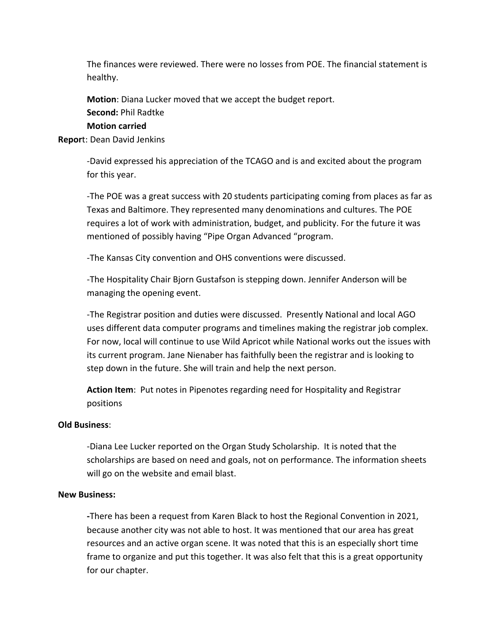The finances were reviewed. There were no losses from POE. The financial statement is healthy. 

**Motion:** Diana Lucker moved that we accept the budget report. **Second: Phil Radtke Motion carried**

#### **Report: Dean David Jenkins**

-David expressed his appreciation of the TCAGO and is and excited about the program for this year.

-The POE was a great success with 20 students participating coming from places as far as Texas and Baltimore. They represented many denominations and cultures. The POE requires a lot of work with administration, budget, and publicity. For the future it was mentioned of possibly having "Pipe Organ Advanced "program.

-The Kansas City convention and OHS conventions were discussed.

-The Hospitality Chair Bjorn Gustafson is stepping down. Jennifer Anderson will be managing the opening event.

-The Registrar position and duties were discussed. Presently National and local AGO uses different data computer programs and timelines making the registrar job complex. For now, local will continue to use Wild Apricot while National works out the issues with its current program. Jane Nienaber has faithfully been the registrar and is looking to step down in the future. She will train and help the next person.

**Action Item**: Put notes in Pipenotes regarding need for Hospitality and Registrar positions

## **Old Business**:

-Diana Lee Lucker reported on the Organ Study Scholarship. It is noted that the scholarships are based on need and goals, not on performance. The information sheets will go on the website and email blast.

#### **New Business:**

-There has been a request from Karen Black to host the Regional Convention in 2021, because another city was not able to host. It was mentioned that our area has great resources and an active organ scene. It was noted that this is an especially short time frame to organize and put this together. It was also felt that this is a great opportunity for our chapter.